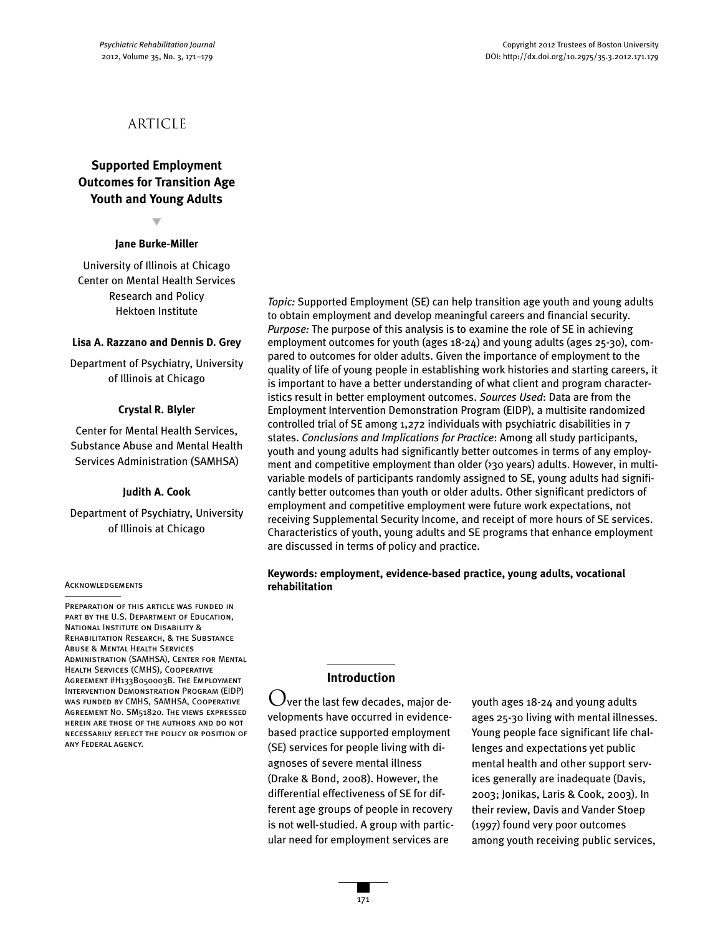# **ARTICLE**

## **Supported Employment Outcomes for Transition Age Youth and Young Adults**

▼

#### **Jane Burke-Miller**

University of Illinois at Chicago Center on Mental Health Services Research and Policy Hektoen Institute

#### **Lisa A. Razzano and Dennis D. Grey**

Department of Psychiatry, University of Illinois at Chicago

#### **Crystal R. Blyler**

Center for Mental Health Services, Substance Abuse and Mental Health Services Administration (SAMHSA)

#### **Judith A. Cook**

Department of Psychiatry, University of Illinois at Chicago

#### **ACKNOWLEDGEMENTS**

PREPARATION OF THIS ARTICLE WAS FUNDED IN part by the U.S. Department of Education, National Institute on Disability & Rehabilitation Research, & the Substance Abuse & Mental Health Services Administration (SAMHSA), Center for Mental Health Services (CMHS), Cooperative Agreement #H133B050003B. The Employment Intervention Demonstration Program (EIDP) was funded by CMHS, SAMHSA, Cooperative Agreement No. SM51820. The views expressed herein are those of the authors and do not necessarily reflect the policy or position of any Federal agency.

*Topic:* Supported Employment (SE) can help transition age youth and young adults to obtain employment and develop meaningful careers and financial security. *Purpose:* The purpose of this analysis is to examine the role of SE in achieving employment outcomes for youth (ages 18-24) and young adults (ages 25-30), compared to outcomes for older adults. Given the importance of employment to the quality of life of young people in establishing work histories and starting careers, it is important to have a better understanding of what client and program characteristics result in better employment outcomes. *Sources Used*: Data are from the Employment Intervention Demonstration Program (EIDP), a multisite randomized controlled trial of SE among 1,272 individuals with psychiatric disabilities in 7 states. *Conclusions and Implications for Practice*: Among all study participants, youth and young adults had significantly better outcomes in terms of any employment and competitive employment than older (>30 years) adults. However, in multivariable models of participants randomly assigned to SE, young adults had significantly better outcomes than youth or older adults. Other significant predictors of employment and competitive employment were future work expectations, not receiving Supplemental Security Income, and receipt of more hours of SE services. Characteristics of youth, young adults and SE programs that enhance employment are discussed in terms of policy and practice.

#### **Keywords: employment, evidence-based practice, young adults, vocational rehabilitation**

### **Introduction**

 $\bigcup$ ver the last few decades, major developments have occurred in evidencebased practice supported employment (SE) services for people living with diagnoses of severe mental illness (Drake & Bond, 2008). However, the differential effectiveness of SE for different age groups of people in recovery is not well-studied. A group with particular need for employment services are

youth ages 18-24 and young adults ages 25-30 living with mental illnesses. Young people face significant life challenges and expectations yet public mental health and other support services generally are inadequate (Davis, 2003; Jonikas, Laris & Cook, 2003). In their review, Davis and Vander Stoep (1997) found very poor outcomes among youth receiving public services,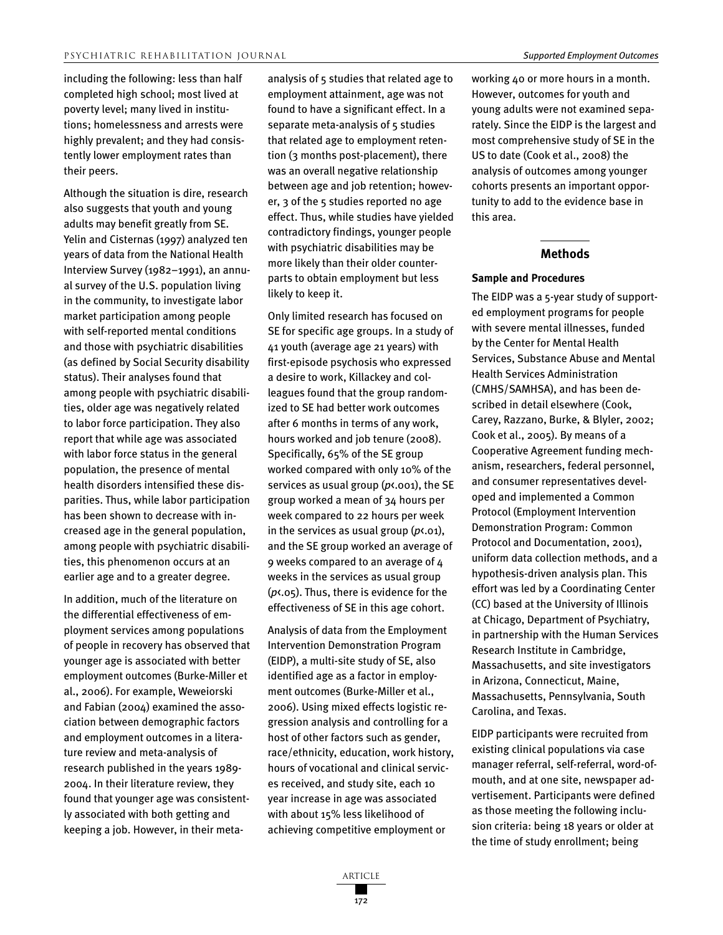including the following: less than half completed high school; most lived at poverty level; many lived in institutions; homelessness and arrests were highly prevalent; and they had consistently lower employment rates than their peers.

Although the situation is dire, research also suggests that youth and young adults may benefit greatly from SE. Yelin and Cisternas (1997) analyzed ten years of data from the National Health Interview Survey (1982–1991), an annual survey of the U.S. population living in the community, to investigate labor market participation among people with self-reported mental conditions and those with psychiatric disabilities (as defined by Social Security disability status). Their analyses found that among people with psychiatric disabilities, older age was negatively related to labor force participation. They also report that while age was associated with labor force status in the general population, the presence of mental health disorders intensified these disparities. Thus, while labor participation has been shown to decrease with increased age in the general population, among people with psychiatric disabilities, this phenomenon occurs at an earlier age and to a greater degree.

In addition, much of the literature on the differential effectiveness of employment services among populations of people in recovery has observed that younger age is associated with better employment outcomes (Burke-Miller et al., 2006). For example, Weweiorski and Fabian (2004) examined the association between demographic factors and employment outcomes in a literature review and meta-analysis of research published in the years 1989- 2004. In their literature review, they found that younger age was consistently associated with both getting and keeping a job. However, in their metaanalysis of 5 studies that related age to employment attainment, age was not found to have a significant effect. In a separate meta-analysis of 5 studies that related age to employment retention (3 months post-placement), there was an overall negative relationship between age and job retention; however, 3 of the 5 studies reported no age effect. Thus, while studies have yielded contradictory findings, younger people with psychiatric disabilities may be more likely than their older counterparts to obtain employment but less likely to keep it.

Only limited research has focused on SE for specific age groups. In a study of 41 youth (average age 21 years) with first-episode psychosis who expressed a desire to work, Killackey and colleagues found that the group randomized to SE had better work outcomes after 6 months in terms of any work, hours worked and job tenure (2008). Specifically, 65% of the SE group worked compared with only 10% of the services as usual group (*p*<.001), the SE group worked a mean of 34 hours per week compared to 22 hours per week in the services as usual group (*p*<.01), and the SE group worked an average of 9 weeks compared to an average of 4 weeks in the services as usual group (*p*<.05). Thus, there is evidence for the effectiveness of SE in this age cohort.

Analysis of data from the Employment Intervention Demonstration Program (EIDP), a multi-site study of SE, also identified age as a factor in employment outcomes (Burke-Miller et al., 2006). Using mixed effects logistic regression analysis and controlling for a host of other factors such as gender, race/ethnicity, education, work history, hours of vocational and clinical services received, and study site, each 10 year increase in age was associated with about 15% less likelihood of achieving competitive employment or

working 40 or more hours in a month. However, outcomes for youth and young adults were not examined separately. Since the EIDP is the largest and most comprehensive study of SE in the US to date (Cook et al., 2008) the analysis of outcomes among younger cohorts presents an important opportunity to add to the evidence base in this area.

#### **Methods**

#### **Sample and Procedures**

The EIDP was a 5-year study of supported employment programs for people with severe mental illnesses, funded by the Center for Mental Health Services, Substance Abuse and Mental Health Services Administration (CMHS/SAMHSA), and has been described in detail elsewhere (Cook, Carey, Razzano, Burke, & Blyler, 2002; Cook et al., 2005). By means of a Cooperative Agreement funding mechanism, researchers, federal personnel, and consumer representatives developed and implemented a Common Protocol (Employment Intervention Demonstration Program: Common Protocol and Documentation, 2001), uniform data collection methods, and a hypothesis-driven analysis plan. This effort was led by a Coordinating Center (CC) based at the University of Illinois at Chicago, Department of Psychiatry, in partnership with the Human Services Research Institute in Cambridge, Massachusetts, and site investigators in Arizona, Connecticut, Maine, Massachusetts, Pennsylvania, South Carolina, and Texas.

EIDP participants were recruited from existing clinical populations via case manager referral, self-referral, word-ofmouth, and at one site, newspaper advertisement. Participants were defined as those meeting the following inclusion criteria: being 18 years or older at the time of study enrollment; being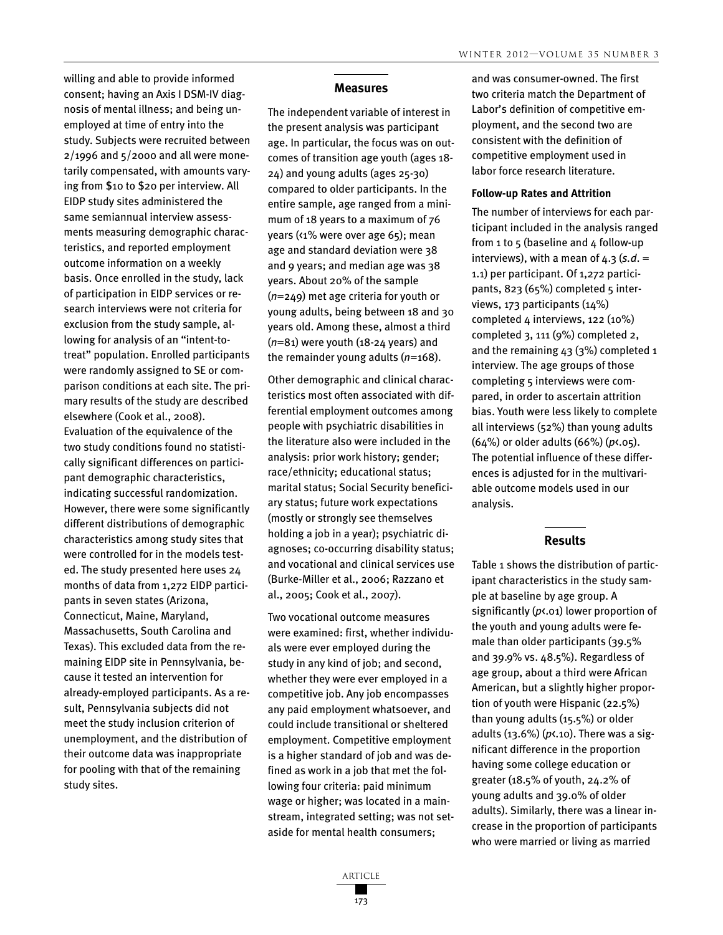willing and able to provide informed consent; having an Axis I DSM-IV diagnosis of mental illness; and being unemployed at time of entry into the study. Subjects were recruited between 2/1996 and 5/2000 and all were monetarily compensated, with amounts varying from \$10 to \$20 per interview. All EIDP study sites administered the same semiannual interview assessments measuring demographic characteristics, and reported employment outcome information on a weekly basis. Once enrolled in the study, lack of participation in EIDP services or research interviews were not criteria for exclusion from the study sample, allowing for analysis of an "intent-totreat" population. Enrolled participants were randomly assigned to SE or comparison conditions at each site. The primary results of the study are described elsewhere (Cook et al., 2008). Evaluation of the equivalence of the two study conditions found no statistically significant differences on participant demographic characteristics, indicating successful randomization. However, there were some significantly different distributions of demographic characteristics among study sites that were controlled for in the models tested. The study presented here uses 24 months of data from 1,272 EIDP participants in seven states (Arizona, Connecticut, Maine, Maryland, Massachusetts, South Carolina and Texas). This excluded data from the remaining EIDP site in Pennsylvania, because it tested an intervention for already-employed participants. As a result, Pennsylvania subjects did not meet the study inclusion criterion of unemployment, and the distribution of their outcome data was inappropriate for pooling with that of the remaining study sites.

#### **Measures**

The independent variable of interest in the present analysis was participant age. In particular, the focus was on outcomes of transition age youth (ages 18- 24) and young adults (ages 25-30) compared to older participants. In the entire sample, age ranged from a minimum of 18 years to a maximum of 76 years (<1% were over age 65); mean age and standard deviation were 38 and 9 years; and median age was 38 years. About 20% of the sample (*n*=249) met age criteria for youth or young adults, being between 18 and 30 years old. Among these, almost a third (*n*=81) were youth (18-24 years) and the remainder young adults (*n*=168).

Other demographic and clinical characteristics most often associated with differential employment outcomes among people with psychiatric disabilities in the literature also were included in the analysis: prior work history; gender; race/ethnicity; educational status; marital status; Social Security beneficiary status; future work expectations (mostly or strongly see themselves holding a job in a year); psychiatric diagnoses; co-occurring disability status; and vocational and clinical services use (Burke-Miller et al., 2006; Razzano et al., 2005; Cook et al., 2007).

Two vocational outcome measures were examined: first, whether individuals were ever employed during the study in any kind of job; and second, whether they were ever employed in a competitive job. Any job encompasses any paid employment whatsoever, and could include transitional or sheltered employment. Competitive employment is a higher standard of job and was defined as work in a job that met the following four criteria: paid minimum wage or higher; was located in a mainstream, integrated setting; was not setaside for mental health consumers;

and was consumer-owned. The first two criteria match the Department of Labor's definition of competitive employment, and the second two are consistent with the definition of competitive employment used in labor force research literature.

#### **Follow-up Rates and Attrition**

The number of interviews for each participant included in the analysis ranged from 1 to 5 (baseline and 4 follow-up interviews), with a mean of  $4.3$  (s.d. = 1.1) per participant. Of 1,272 participants,  $823(65%)$  completed 5 interviews, 173 participants (14%) completed 4 interviews, 122 (10%) completed 3, 111 (9%) completed 2, and the remaining 43 (3%) completed 1 interview. The age groups of those completing 5 interviews were compared, in order to ascertain attrition bias. Youth were less likely to complete all interviews (52%) than young adults (64%) or older adults (66%) (*p*<.05). The potential influence of these differences is adjusted for in the multivariable outcome models used in our analysis.

#### **Results**

Table 1 shows the distribution of participant characteristics in the study sample at baseline by age group. A significantly (*p*<.01) lower proportion of the youth and young adults were female than older participants (39.5% and 39.9% vs. 48.5%). Regardless of age group, about a third were African American, but a slightly higher proportion of youth were Hispanic (22.5%) than young adults (15.5%) or older adults (13.6%) (*p*<.10). There was a significant difference in the proportion having some college education or greater (18.5% of youth, 24.2% of young adults and 39.0% of older adults). Similarly, there was a linear increase in the proportion of participants who were married or living as married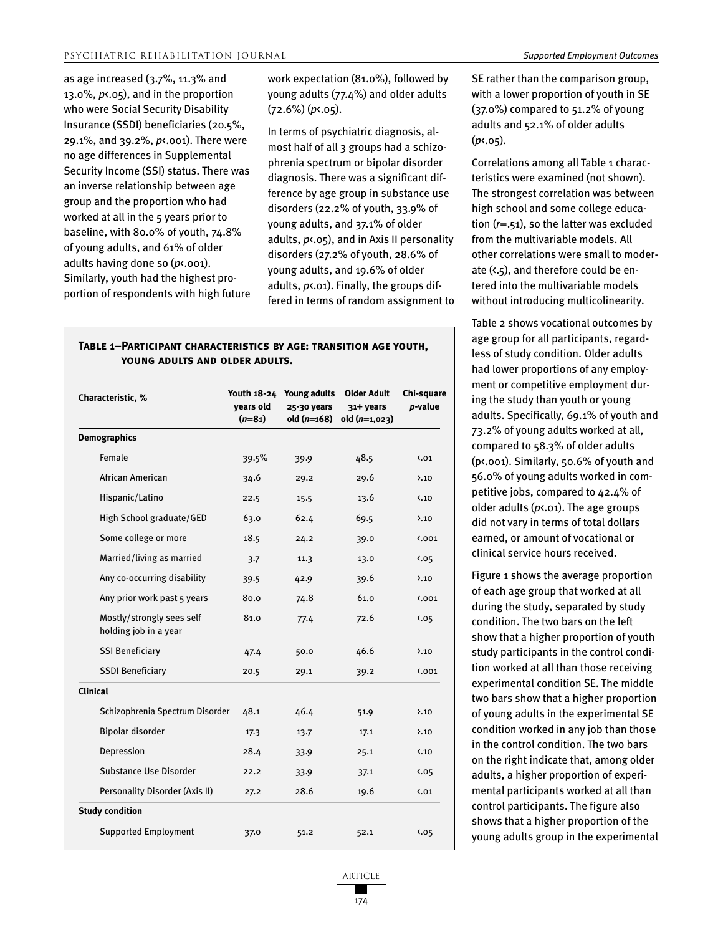as age increased (3.7%, 11.3% and 13.0%, *p*<.05), and in the proportion who were Social Security Disability Insurance (SSDI) beneficiaries (20.5%, 29.1%, and 39.2%, *p*<.001). There were no age differences in Supplemental Security Income (SSI) status. There was an inverse relationship between age group and the proportion who had worked at all in the 5 years prior to baseline, with 80.0% of youth, 74.8% of young adults, and 61% of older adults having done so (*p*<.001). Similarly, youth had the highest proportion of respondents with high future work expectation (81.0%), followed by young adults (77.4%) and older adults (72.6%) (*p*<.05).

In terms of psychiatric diagnosis, almost half of all 3 groups had a schizophrenia spectrum or bipolar disorder diagnosis. There was a significant difference by age group in substance use disorders (22.2% of youth, 33.9% of young adults, and 37.1% of older adults, *p*<.05), and in Axis II personality disorders (27.2% of youth, 28.6% of young adults, and 19.6% of older adults, *p*<.01). Finally, the groups differed in terms of random assignment to

| YOUNG ADULTS AND OLDER ADULTS.                     |                       |                                                          |                                                   |                       |  |
|----------------------------------------------------|-----------------------|----------------------------------------------------------|---------------------------------------------------|-----------------------|--|
| Characteristic, %                                  | years old<br>$(n=81)$ | Youth 18-24 Young adults<br>25-30 years<br>$old (n=168)$ | <b>Older Adult</b><br>31+ years<br>$old(n=1,023)$ | Chi-square<br>p-value |  |
| <b>Demographics</b>                                |                       |                                                          |                                                   |                       |  |
| Female                                             | 39.5%                 | 39.9                                                     | 48.5                                              | $\langle .01$         |  |
| African American                                   | 34.6                  | 29.2                                                     | 29.6                                              | $\lambda$ .10         |  |
| Hispanic/Latino                                    | 22.5                  | 15.5                                                     | 13.6                                              | $\langle .10$         |  |
| High School graduate/GED                           | 63.0                  | 62.4                                                     | 69.5                                              | $\lambda$ .10         |  |
| Some college or more                               | 18.5                  | 24.2                                                     | 39.0                                              | $\binom{0.001}{1}$    |  |
| Married/living as married                          | 3.7                   | 11.3                                                     | 13.0                                              | 5.05                  |  |
| Any co-occurring disability                        | 39.5                  | 42.9                                                     | 39.6                                              | $\lambda$ .10         |  |
| Any prior work past 5 years                        | 80.0                  | 74.8                                                     | 61.0                                              | 0.001                 |  |
| Mostly/strongly sees self<br>holding job in a year | 81.0                  | 77.4                                                     | 72.6                                              | 5.05                  |  |
| <b>SSI Beneficiary</b>                             | 47.4                  | 50.0                                                     | 46.6                                              | $\lambda$ .10         |  |
| <b>SSDI Beneficiary</b>                            | 20.5                  | 29.1                                                     | 39.2                                              | $\binom{0.001}{1}$    |  |
| Clinical                                           |                       |                                                          |                                                   |                       |  |
| Schizophrenia Spectrum Disorder                    | 48.1                  | 46.4                                                     | 51.9                                              | $\lambda$ .10         |  |
| Bipolar disorder                                   | 17.3                  | 13.7                                                     | 17.1                                              | $\lambda$ .10         |  |
| Depression                                         | 28.4                  | 33.9                                                     | 25.1                                              | $\langle .10$         |  |
| Substance Use Disorder                             | 22.2                  | 33.9                                                     | 37.1                                              | 5.05                  |  |
| Personality Disorder (Axis II)                     | 27.2                  | 28.6                                                     | 19.6                                              | $\langle .01$         |  |
| <b>Study condition</b>                             |                       |                                                          |                                                   |                       |  |
| <b>Supported Employment</b>                        | 37.0                  | 51.2                                                     | 52.1                                              | 5.05                  |  |

# **Table 1–Participant characteristics by age: transition age youth,**

SE rather than the comparison group, with a lower proportion of youth in SE (37.0%) compared to 51.2% of young adults and 52.1% of older adults (*p*<.05).

Correlations among all Table 1 characteristics were examined (not shown). The strongest correlation was between high school and some college education (*r*=.51), so the latter was excluded from the multivariable models. All other correlations were small to moderate (<.5), and therefore could be entered into the multivariable models without introducing multicolinearity.

Table 2 shows vocational outcomes by age group for all participants, regardless of study condition. Older adults had lower proportions of any employment or competitive employment during the study than youth or young adults. Specifically, 69.1% of youth and 73.2% of young adults worked at all, compared to 58.3% of older adults (p<.001). Similarly, 50.6% of youth and 56.0% of young adults worked in competitive jobs, compared to 42.4% of older adults (*p*<.01). The age groups did not vary in terms of total dollars earned, or amount of vocational or clinical service hours received.

Figure 1 shows the average proportion of each age group that worked at all during the study, separated by study condition. The two bars on the left show that a higher proportion of youth study participants in the control condition worked at all than those receiving experimental condition SE. The middle two bars show that a higher proportion of young adults in the experimental SE condition worked in any job than those in the control condition. The two bars on the right indicate that, among older adults, a higher proportion of experimental participants worked at all than control participants. The figure also shows that a higher proportion of the young adults group in the experimental

article 174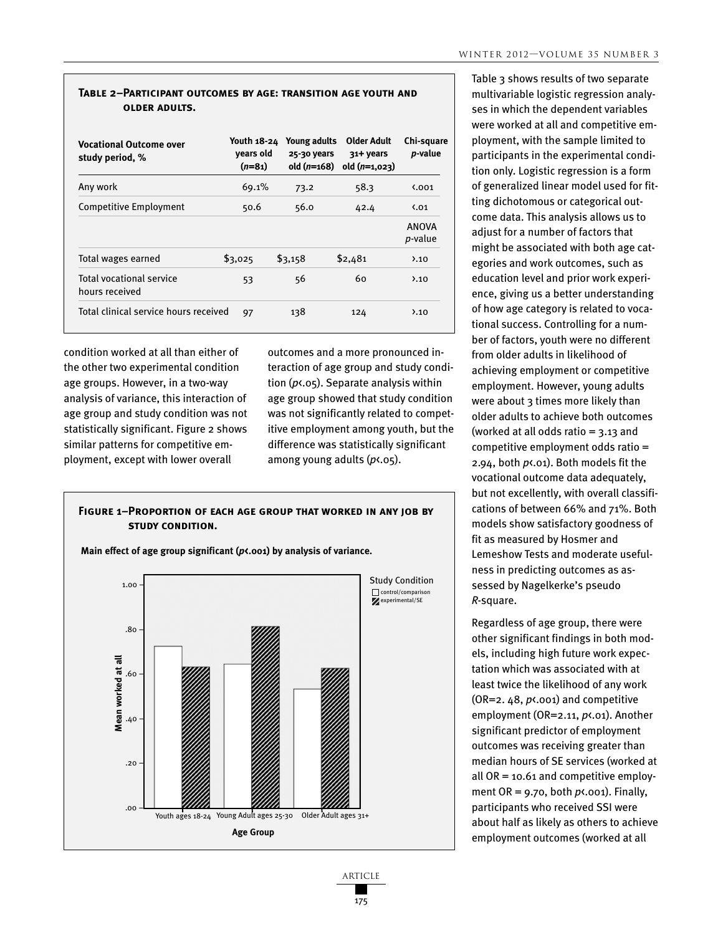#### **Table 2–Participant outcomes by age: transition age youth and older adults.**

| <b>Vocational Outcome over</b><br>study period, % | Youth 18-24<br>vears old<br>$(n=81)$ | Young adults<br>25-30 years<br>old $(n=168)$ | Older Adult<br>31+ years<br>$old(n=1,023)$ | Chi-square<br><i>p</i> -value   |
|---------------------------------------------------|--------------------------------------|----------------------------------------------|--------------------------------------------|---------------------------------|
| Any work                                          | 69.1%                                | 73.2                                         | 58.3                                       | $\binom{0.001}{0.001}$          |
| Competitive Employment                            | 50.6                                 | 56.0                                         | 42.4                                       | $\binom{0}{1}$                  |
|                                                   |                                      |                                              |                                            | <b>ANOVA</b><br><i>p</i> -value |
| Total wages earned                                | \$3,025                              | \$3,158                                      | \$2,481                                    | $\lambda$ .10                   |
| <b>Total vocational service</b><br>hours received | 53                                   | 56                                           | 60                                         | $\lambda$ .10                   |
| Total clinical service hours received             | 97                                   | 138                                          | 124                                        | $\lambda$ .10                   |

condition worked at all than either of the other two experimental condition age groups. However, in a two-way analysis of variance, this interaction of age group and study condition was not statistically significant. Figure 2 shows similar patterns for competitive employment, except with lower overall

outcomes and a more pronounced interaction of age group and study condition (*p*<.05). Separate analysis within age group showed that study condition was not significantly related to competitive employment among youth, but the difference was statistically significant among young adults (*p*<.05).

### **Figure 1–Proportion of each age group that worked in any job by study condition.**



**Main effect of age group significant (***p***<.001) by analysis of variance.**

Table 3 shows results of two separate multivariable logistic regression analyses in which the dependent variables were worked at all and competitive employment, with the sample limited to participants in the experimental condition only. Logistic regression is a form of generalized linear model used for fitting dichotomous or categorical outcome data. This analysis allows us to adjust for a number of factors that might be associated with both age categories and work outcomes, such as education level and prior work experience, giving us a better understanding of how age category is related to vocational success. Controlling for a number of factors, youth were no different from older adults in likelihood of achieving employment or competitive employment. However, young adults were about 3 times more likely than older adults to achieve both outcomes (worked at all odds ratio  $=$  3.13 and competitive employment odds ratio = 2.94, both *p*<.01). Both models fit the vocational outcome data adequately, but not excellently, with overall classifications of between 66% and 71%. Both models show satisfactory goodness of fit as measured by Hosmer and Lemeshow Tests and moderate usefulness in predicting outcomes as assessed by Nagelkerke's pseudo *R*-square.

Regardless of age group, there were other significant findings in both models, including high future work expectation which was associated with at least twice the likelihood of any work (OR=2. 48, *p*<.001) and competitive employment (OR=2.11, *p*<.01). Another significant predictor of employment outcomes was receiving greater than median hours of SE services (worked at all OR = 10.61 and competitive employment OR = 9.70, both *p*<.001). Finally, participants who received SSI were about half as likely as others to achieve employment outcomes (worked at all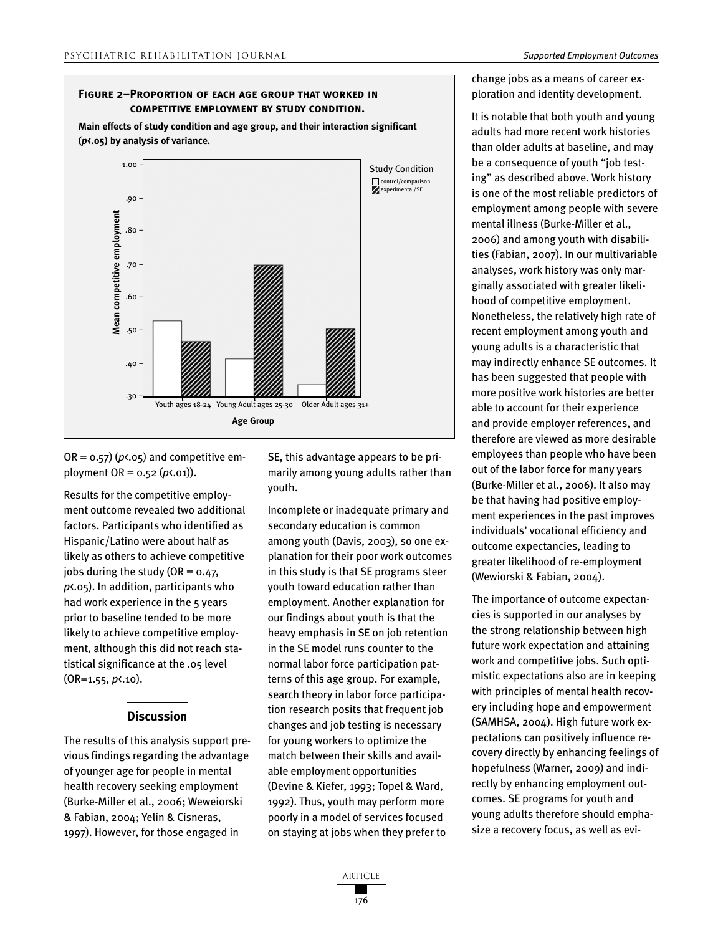# **Figure 2–Proportion of each age group that worked in competitive employment by study condition.**

**Main effects of study condition and age group, and their interaction significant (***p***<.05) by analysis of variance.**



 $OR = 0.57$ ) ( $p \times 0.05$ ) and competitive employment OR = 0.52 (*p*<.01)).

Results for the competitive employment outcome revealed two additional factors. Participants who identified as Hispanic/Latino were about half as likely as others to achieve competitive jobs during the study (OR =  $0.47$ , *p*<.05). In addition, participants who had work experience in the 5 years prior to baseline tended to be more likely to achieve competitive employment, although this did not reach statistical significance at the .05 level (OR=1.55, *p*<.10).

#### **Discussion**

The results of this analysis support previous findings regarding the advantage of younger age for people in mental health recovery seeking employment (Burke-Miller et al., 2006; Weweiorski & Fabian, 2004; Yelin & Cisneras, 1997). However, for those engaged in

SE, this advantage appears to be primarily among young adults rather than youth.

Incomplete or inadequate primary and secondary education is common among youth (Davis, 2003), so one explanation for their poor work outcomes in this study is that SE programs steer youth toward education rather than employment. Another explanation for our findings about youth is that the heavy emphasis in SE on job retention in the SE model runs counter to the normal labor force participation patterns of this age group. For example, search theory in labor force participation research posits that frequent job changes and job testing is necessary for young workers to optimize the match between their skills and available employment opportunities (Devine & Kiefer, 1993; Topel & Ward, 1992). Thus, youth may perform more poorly in a model of services focused on staying at jobs when they prefer to

change jobs as a means of career exploration and identity development.

It is notable that both youth and young adults had more recent work histories than older adults at baseline, and may be a consequence of youth "job testing" as described above. Work history is one of the most reliable predictors of employment among people with severe mental illness (Burke-Miller et al., 2006) and among youth with disabilities (Fabian, 2007). In our multivariable analyses, work history was only marginally associated with greater likelihood of competitive employment. Nonetheless, the relatively high rate of recent employment among youth and young adults is a characteristic that may indirectly enhance SE outcomes. It has been suggested that people with more positive work histories are better able to account for their experience and provide employer references, and therefore are viewed as more desirable employees than people who have been out of the labor force for many years (Burke-Miller et al., 2006). It also may be that having had positive employment experiences in the past improves individuals' vocational efficiency and outcome expectancies, leading to greater likelihood of re-employment (Wewiorski & Fabian, 2004).

The importance of outcome expectancies is supported in our analyses by the strong relationship between high future work expectation and attaining work and competitive jobs. Such optimistic expectations also are in keeping with principles of mental health recovery including hope and empowerment (SAMHSA, 2004). High future work expectations can positively influence recovery directly by enhancing feelings of hopefulness (Warner, 2009) and indirectly by enhancing employment outcomes. SE programs for youth and young adults therefore should emphasize a recovery focus, as well as evi-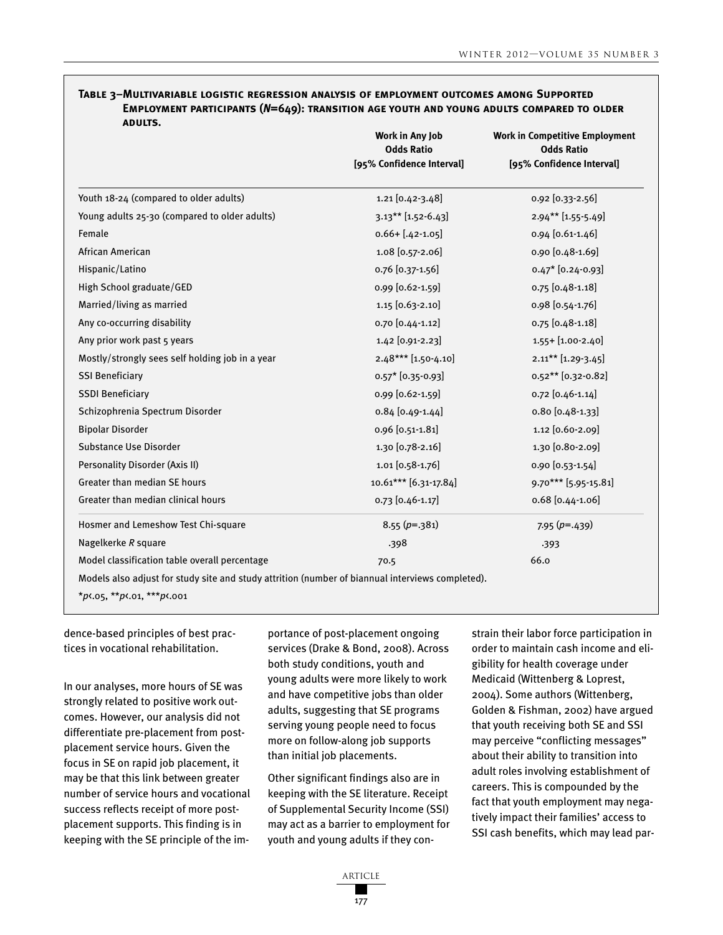| <b>ADULTS.</b>                                  | Work in Any Job<br><b>Odds Ratio</b><br>[95% Confidence Interval] | <b>Work in Competitive Employment</b><br><b>Odds Ratio</b><br>[95% Confidence Interval] |  |
|-------------------------------------------------|-------------------------------------------------------------------|-----------------------------------------------------------------------------------------|--|
| Youth 18-24 (compared to older adults)          | $1.21$ [0.42-3.48]                                                | 0.92 [0.33-2.56]                                                                        |  |
| Young adults 25-30 (compared to older adults)   | $3.13***$ [1.52-6.43]                                             | 2.94** [1.55-5.49]                                                                      |  |
| Female                                          | $0.66 + [.42 - 1.05]$                                             | 0.94 [0.61-1.46]                                                                        |  |
| African American                                | 1.08 [0.57-2.06]                                                  | 0.90 [0.48-1.69]                                                                        |  |
| Hispanic/Latino                                 | 0.76 [0.37-1.56]                                                  | $0.47*$ [0.24-0.93]                                                                     |  |
| High School graduate/GED                        | 0.99 [0.62-1.59]                                                  | 0.75 [0.48-1.18]                                                                        |  |
| Married/living as married                       | 1.15 [0.63-2.10]                                                  | 0.98 [0.54-1.76]                                                                        |  |
| Any co-occurring disability                     | 0.70 [0.44-1.12]                                                  | 0.75 [0.48-1.18]                                                                        |  |
| Any prior work past 5 years                     | 1.42 [0.91-2.23]                                                  | 1.55+ [1.00-2.40]                                                                       |  |
| Mostly/strongly sees self holding job in a year | $2.48***$ [1.50-4.10]                                             | $2.11***$ [1.29-3.45]                                                                   |  |
| <b>SSI Beneficiary</b>                          | $0.57*$ [0.35-0.93]                                               | $0.52**$ [0.32-0.82]                                                                    |  |
| <b>SSDI Beneficiary</b>                         | 0.99 [0.62-1.59]                                                  | $0.72$ [0.46-1.14]                                                                      |  |
| Schizophrenia Spectrum Disorder                 | $0.84$ [0.49-1.44]                                                | $0.80$ [0.48-1.33]                                                                      |  |
| <b>Bipolar Disorder</b>                         | 0.96 [0.51-1.81]                                                  | 1.12 [0.60-2.09]                                                                        |  |
| Substance Use Disorder                          | 1.30 [0.78-2.16]                                                  | 1.30 [0.80-2.09]                                                                        |  |
| Personality Disorder (Axis II)                  | $1.01$ [0.58-1.76]                                                | 0.90 [0.53-1.54]                                                                        |  |
| Greater than median SE hours                    | 10.61*** [6.31-17.84]                                             | 9.70*** [5.95-15.81]                                                                    |  |
| Greater than median clinical hours              | 0.73 [0.46-1.17]                                                  | $0.68$ [0.44-1.06]                                                                      |  |
| Hosmer and Lemeshow Test Chi-square             | $8.55(p=.381)$                                                    | $7.95 (p=.439)$                                                                         |  |
| Nagelkerke R square                             | .398                                                              | .393                                                                                    |  |
| Model classification table overall percentage   | 66.0<br>70.5                                                      |                                                                                         |  |

# **Table 3–Multivariable logistic regression analysis of employment outcomes among Supported Employment participants (***N***=649): transition age youth and young adults compared to older**

\**p*<.05, \*\**p*<.01, \*\*\**p*<.001

dence-based principles of best practices in vocational rehabilitation.

In our analyses, more hours of SE was strongly related to positive work outcomes. However, our analysis did not differentiate pre-placement from postplacement service hours. Given the focus in SE on rapid job placement, it may be that this link between greater number of service hours and vocational success reflects receipt of more postplacement supports. This finding is in keeping with the SE principle of the importance of post-placement ongoing services (Drake & Bond, 2008). Across both study conditions, youth and young adults were more likely to work and have competitive jobs than older adults, suggesting that SE programs serving young people need to focus more on follow-along job supports than initial job placements.

Other significant findings also are in keeping with the SE literature. Receipt of Supplemental Security Income (SSI) may act as a barrier to employment for youth and young adults if they constrain their labor force participation in order to maintain cash income and eligibility for health coverage under Medicaid (Wittenberg & Loprest, 2004). Some authors (Wittenberg, Golden & Fishman, 2002) have argued that youth receiving both SE and SSI may perceive "conflicting messages" about their ability to transition into adult roles involving establishment of careers. This is compounded by the fact that youth employment may negatively impact their families' access to SSI cash benefits, which may lead par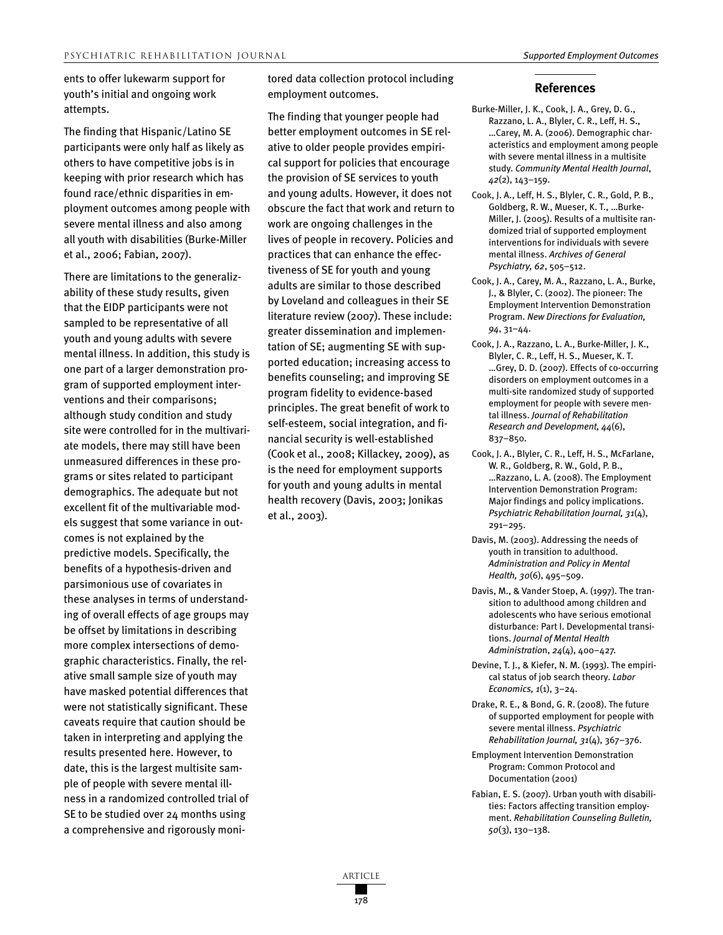ents to offer lukewarm support for youth's initial and ongoing work attempts.

The finding that Hispanic/Latino SE participants were only half as likely as others to have competitive jobs is in keeping with prior research which has found race/ethnic disparities in employment outcomes among people with severe mental illness and also among all youth with disabilities (Burke-Miller et al., 2006; Fabian, 2007).

There are limitations to the generalizability of these study results, given that the EIDP participants were not sampled to be representative of all youth and young adults with severe mental illness. In addition, this study is one part of a larger demonstration program of supported employment interventions and their comparisons; although study condition and study site were controlled for in the multivariate models, there may still have been unmeasured differences in these programs or sites related to participant demographics. The adequate but not excellent fit of the multivariable models suggest that some variance in outcomes is not explained by the predictive models. Specifically, the benefits of a hypothesis-driven and parsimonious use of covariates in these analyses in terms of understanding of overall effects of age groups may be offset by limitations in describing more complex intersections of demographic characteristics. Finally, the relative small sample size of youth may have masked potential differences that were not statistically significant. These caveats require that caution should be taken in interpreting and applying the results presented here. However, to date, this is the largest multisite sample of people with severe mental illness in a randomized controlled trial of SE to be studied over 24 months using a comprehensive and rigorously monitored data collection protocol including employment outcomes.

The finding that younger people had better employment outcomes in SE relative to older people provides empirical support for policies that encourage the provision of SE services to youth and young adults. However, it does not obscure the fact that work and return to work are ongoing challenges in the lives of people in recovery. Policies and practices that can enhance the effectiveness of SE for youth and young adults are similar to those described by Loveland and colleagues in their SE literature review (2007). These include: greater dissemination and implementation of SE; augmenting SE with supported education; increasing access to benefits counseling; and improving SE program fidelity to evidence-based principles. The great benefit of work to self-esteem, social integration, and financial security is well-established (Cook et al., 2008; Killackey, 2009), as is the need for employment supports for youth and young adults in mental health recovery (Davis, 2003; Jonikas et al., 2003).

#### **References**

- Burke-Miller, J. K., Cook, J. A., Grey, D. G., Razzano, L. A., Blyler, C. R., Leff, H. S., …Carey, M. A. (2006). Demographic characteristics and employment among people with severe mental illness in a multisite study. *Community Mental Health Journal*, *42*(2), 143–159.
- Cook, J. A., Leff, H. S., Blyler, C. R., Gold, P. B., Goldberg, R. W., Mueser, K. T., …Burke-Miller, J. (2005). Results of a multisite randomized trial of supported employment interventions for individuals with severe mental illness. *Archives of General Psychiatry, 62*, 505–512.
- Cook, J. A., Carey, M. A., Razzano, L. A., Burke, J., & Blyler, C. (2002). The pioneer: The Employment Intervention Demonstration Program. *New Directions for Evaluation, 94*, 31–44.
- Cook, J. A., Razzano, L. A., Burke-Miller, J. K., Blyler, C. R., Leff, H. S., Mueser, K. T. …Grey, D. D. (2007). Effects of co-occurring disorders on employment outcomes in a multi-site randomized study of supported employment for people with severe mental illness. *Journal of Rehabilitation Research and Development, 44*(6), 837–850.
- Cook, J. A., Blyler, C. R., Leff, H. S., McFarlane, W. R., Goldberg, R. W., Gold, P. B., …Razzano, L. A. (2008). The Employment Intervention Demonstration Program: Major findings and policy implications. *Psychiatric Rehabilitation Journal, 31*(4), 291–295.
- Davis, M. (2003). Addressing the needs of youth in transition to adulthood. *Administration and Policy in Mental Health, 30*(6), 495–509.
- Davis, M., & Vander Stoep, A. (1997). The transition to adulthood among children and adolescents who have serious emotional disturbance: Part I. Developmental transitions. *Journal of Mental Health Administratio*n, *24*(4), 400–427.
- Devine, T. J., & Kiefer, N. M. (1993). The empirical status of job search theory. *Labor Economics, 1*(1), 3–24.
- Drake, R. E., & Bond, G. R. (2008). The future of supported employment for people with severe mental illness. *Psychiatric Rehabilitation Journal, 31*(4), 367–376.
- Employment Intervention Demonstration Program: Common Protocol and Documentation (2001)
- Fabian, E. S. (2007). Urban youth with disabilities: Factors affecting transition employment. *Rehabilitation Counseling Bulletin, 50*(3), 130–138.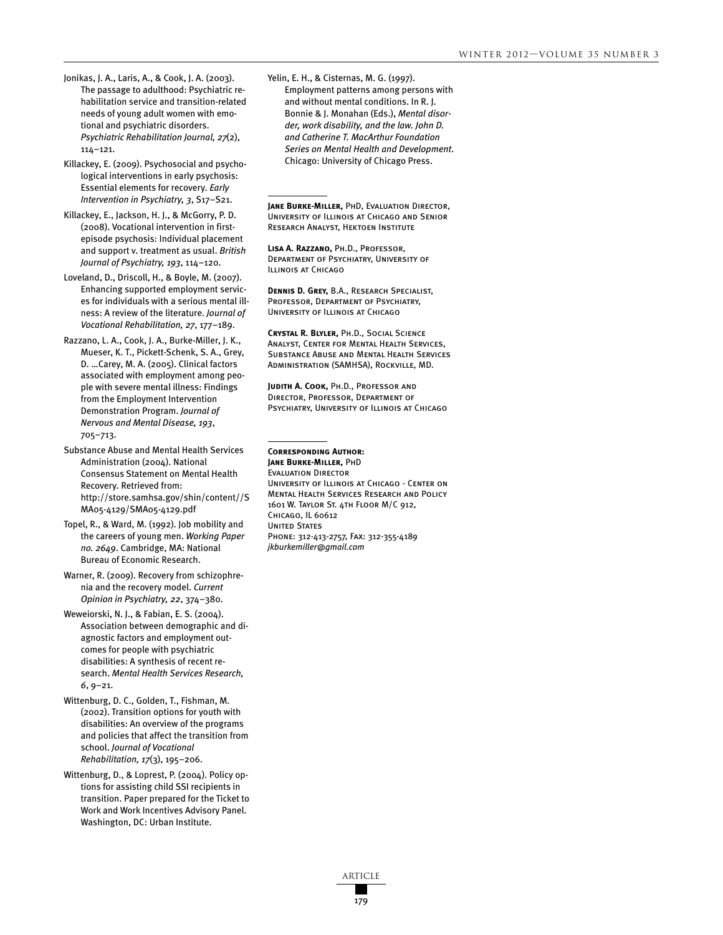- Jonikas, J. A., Laris, A., & Cook, J. A. (2003). The passage to adulthood: Psychiatric rehabilitation service and transition-related needs of young adult women with emotional and psychiatric disorders. *Psychiatric Rehabilitation Journal, 27*(2), 114–121.
- Killackey, E. (2009). Psychosocial and psychological interventions in early psychosis: Essential elements for recovery. *Early Intervention in Psychiatry, 3*, S17–S21.

Killackey, E., Jackson, H. J., & McGorry, P. D. (2008). Vocational intervention in firstepisode psychosis: Individual placement and support v. treatment as usual. *British Journal of Psychiatry, 193*, 114–120.

Loveland, D., Driscoll, H., & Boyle, M. (2007). Enhancing supported employment services for individuals with a serious mental illness: A review of the literature. *Journal of Vocational Rehabilitation, 27*, 177–189.

Razzano, L. A., Cook, J. A., Burke-Miller, J. K., Mueser, K. T., Pickett-Schenk, S. A., Grey, D. …Carey, M. A. (2005). Clinical factors associated with employment among people with severe mental illness: Findings from the Employment Intervention Demonstration Program. *Journal of Nervous and Mental Disease, 193*, 705–713.

Substance Abuse and Mental Health Services Administration (2004). National Consensus Statement on Mental Health Recovery. Retrieved from: http://store.samhsa.gov/shin/content//S MA05-4129/SMA05-4129.pdf

Topel, R., & Ward, M. (1992). Job mobility and the careers of young men. *Working Paper no. 2649*. Cambridge, MA: National Bureau of Economic Research.

Warner, R. (2009). Recovery from schizophrenia and the recovery model. *Current Opinion in Psychiatry, 22*, 374–380.

Weweiorski, N. J., & Fabian, E. S. (2004). Association between demographic and diagnostic factors and employment outcomes for people with psychiatric disabilities: A synthesis of recent research. *Mental Health Services Research, 6*, 9–21.

Wittenburg, D. C., Golden, T., Fishman, M. (2002). Transition options for youth with disabilities: An overview of the programs and policies that affect the transition from school. *Journal of Vocational Rehabilitation, 17*(3), 195–206.

Wittenburg, D., & Loprest, P. (2004). Policy options for assisting child SSI recipients in transition. Paper prepared for the Ticket to Work and Work Incentives Advisory Panel. Washington, DC: Urban Institute.

Yelin, E. H., & Cisternas, M. G. (1997). Employment patterns among persons with and without mental conditions. In R. J. Bonnie & J. Monahan (Eds.), *Mental disorder, work disability, and the law. John D. and Catherine T. MacArthur Foundation Series on Mental Health and Development*. Chicago: University of Chicago Press.

**Jane Burke-Miller,** PhD, Evaluation Director, University of Illinois at Chicago and Senior Research Analyst, Hektoen Institute

**Lisa A. Razzano,** Ph.D., Professor, Department of Psychiatry, University of Illinois at Chicago

**Dennis D. Grey,** B.A., Research Specialist, Professor, Department of Psychiatry, University of Illinois at Chicago

**Crystal R. Blyler,** Ph.D., Social Science Analyst, Center for Mental Health Services, Substance Abuse and Mental Health Services Administration (SAMHSA), Rockville, MD.

**Judith A. Cook,** Ph.D., Professor and Director, Professor, Department of PSYCHIATRY, UNIVERSITY OF ILLINOIS AT CHICAGO

#### **Corresponding Author: Jane Burke-Miller,** PhD

Evaluation Director University of Illinois at Chicago - Center on Mental Health Services Research and Policy 1601 W. Taylor St. 4th Floor M/C 912, Chicago, IL 60612 **UNITED STATES** Phone: 312-413-2757, Fax: 312-355-4189 *jkburkemiller@gmail.com*